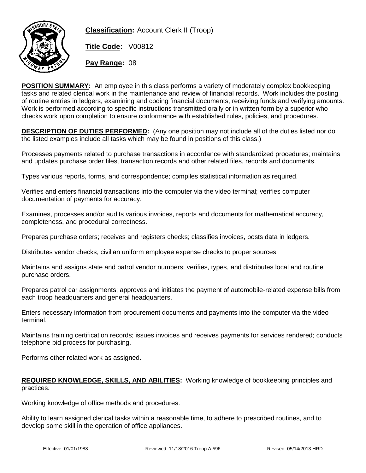

**Classification:** Account Clerk II (Troop)

**Title Code:** V00812

**Pay Range:** 08

**POSITION SUMMARY:** An employee in this class performs a variety of moderately complex bookkeeping tasks and related clerical work in the maintenance and review of financial records. Work includes the posting of routine entries in ledgers, examining and coding financial documents, receiving funds and verifying amounts. Work is performed according to specific instructions transmitted orally or in written form by a superior who checks work upon completion to ensure conformance with established rules, policies, and procedures.

**DESCRIPTION OF DUTIES PERFORMED:** (Any one position may not include all of the duties listed nor do the listed examples include all tasks which may be found in positions of this class.)

Processes payments related to purchase transactions in accordance with standardized procedures; maintains and updates purchase order files, transaction records and other related files, records and documents.

Types various reports, forms, and correspondence; compiles statistical information as required.

Verifies and enters financial transactions into the computer via the video terminal; verifies computer documentation of payments for accuracy.

Examines, processes and/or audits various invoices, reports and documents for mathematical accuracy, completeness, and procedural correctness.

Prepares purchase orders; receives and registers checks; classifies invoices, posts data in ledgers.

Distributes vendor checks, civilian uniform employee expense checks to proper sources.

Maintains and assigns state and patrol vendor numbers; verifies, types, and distributes local and routine purchase orders.

Prepares patrol car assignments; approves and initiates the payment of automobile-related expense bills from each troop headquarters and general headquarters.

Enters necessary information from procurement documents and payments into the computer via the video terminal.

Maintains training certification records; issues invoices and receives payments for services rendered; conducts telephone bid process for purchasing.

Performs other related work as assigned.

## **REQUIRED KNOWLEDGE, SKILLS, AND ABILITIES:** Working knowledge of bookkeeping principles and practices.

Working knowledge of office methods and procedures.

Ability to learn assigned clerical tasks within a reasonable time, to adhere to prescribed routines, and to develop some skill in the operation of office appliances.